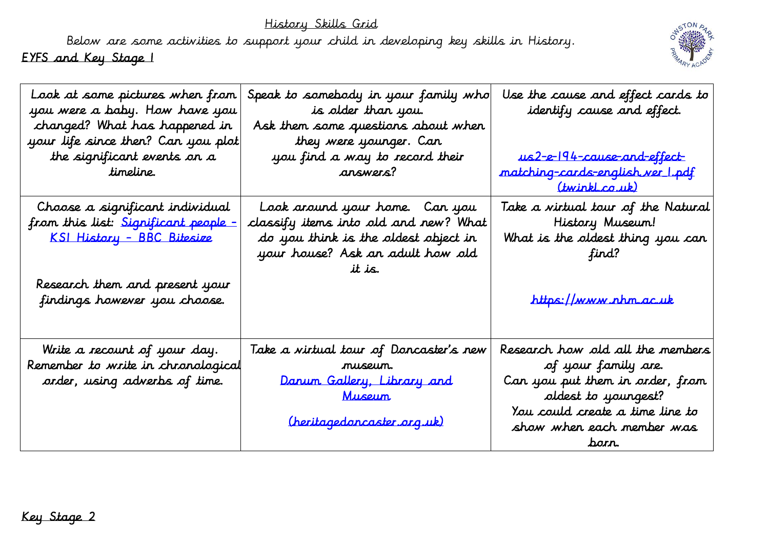History Skills Grid

Below are some activities to support your child in developing key skills in History. EYFS and Key Stage 1



| Look at some pictures when from<br>you were a baby. How have you<br>changed? What has happened in<br>your life since then? Can you plot<br>the significant events on a<br>timeline. | Speak to samebody in your family who<br>is older than you.<br>Ask them some questions about when<br>they were younger. Can<br>you find a way to record their<br>answers? | Use the cause and effect cards to<br>identify cause and effect.<br><u>us 2-e-194-cause-and-effect-</u><br>matching-cards-english ver 1.pdf<br><u>(twinkl.co.uk)</u>               |
|-------------------------------------------------------------------------------------------------------------------------------------------------------------------------------------|--------------------------------------------------------------------------------------------------------------------------------------------------------------------------|-----------------------------------------------------------------------------------------------------------------------------------------------------------------------------------|
| Choose a significant individual<br>from this list: Significant people -<br><u> KSI History - BBC Bitesize</u><br>Research them and present your<br>findings however you choose.     | Look around your home. Can you<br>classify items into old and new? What<br>do you think is the oldest object in<br>your house? Ask an adult how old<br>it is.            | Take a virtual tour of the Natural<br>History Museum!<br>What is the oldest thing you can<br>find?<br>https://www.nhm.ac.uk                                                       |
| Write a recount of your day.<br>Remember to write in chronological<br>arder, using adverbs of time.                                                                                 | Take a virtual tour of Doncaster's new<br>museum.<br>Danum Gallery, Library and<br><u>Museum</u><br>(heritagedoncaster.org.uk)                                           | Research how old all the members<br>of your family are.<br>Can you put them in order, from<br>oldest to youngest?<br>You could create a time line to<br>show when each member was |